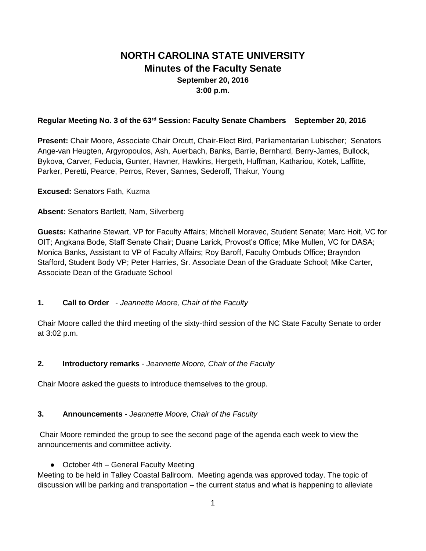# **NORTH CAROLINA STATE UNIVERSITY Minutes of the Faculty Senate September 20, 2016 3:00 p.m.**

#### **Regular Meeting No. 3 of the 63rd Session: Faculty Senate Chambers September 20, 2016**

**Present:** Chair Moore, Associate Chair Orcutt, Chair-Elect Bird, Parliamentarian Lubischer; Senators Ange-van Heugten, Argyropoulos, Ash, Auerbach, Banks, Barrie, Bernhard, Berry-James, Bullock, Bykova, Carver, Feducia, Gunter, Havner, Hawkins, Hergeth, Huffman, Kathariou, Kotek, Laffitte, Parker, Peretti, Pearce, Perros, Rever, Sannes, Sederoff, Thakur, Young

**Excused:** Senators Fath, Kuzma

#### **Absent**: Senators Bartlett, Nam, Silverberg

**Guests:** Katharine Stewart, VP for Faculty Affairs; Mitchell Moravec, Student Senate; Marc Hoit, VC for OIT; Angkana Bode, Staff Senate Chair; Duane Larick, Provost's Office; Mike Mullen, VC for DASA; Monica Banks, Assistant to VP of Faculty Affairs; Roy Baroff, Faculty Ombuds Office; Brayndon Stafford, Student Body VP; Peter Harries, Sr. Associate Dean of the Graduate School; Mike Carter, Associate Dean of the Graduate School

#### **1. Call to Order** - *Jeannette Moore, Chair of the Faculty*

Chair Moore called the third meeting of the sixty-third session of the NC State Faculty Senate to order at 3:02 p.m.

#### **2. Introductory remarks** - *Jeannette Moore, Chair of the Faculty*

Chair Moore asked the guests to introduce themselves to the group.

#### **3. Announcements** - *Jeannette Moore, Chair of the Faculty*

Chair Moore reminded the group to see the second page of the agenda each week to view the announcements and committee activity.

● October 4th – General Faculty Meeting

Meeting to be held in Talley Coastal Ballroom. Meeting agenda was approved today. The topic of discussion will be parking and transportation – the current status and what is happening to alleviate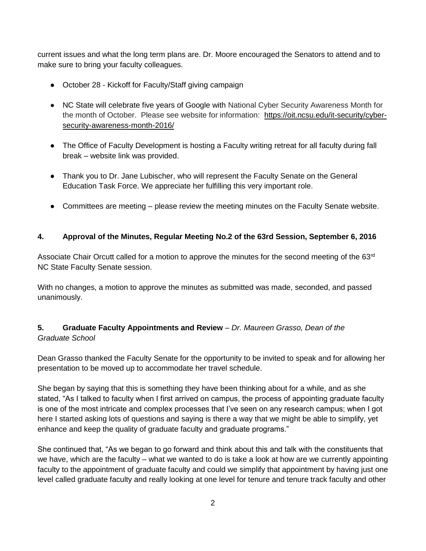current issues and what the long term plans are. Dr. Moore encouraged the Senators to attend and to make sure to bring your faculty colleagues.

- October 28 Kickoff for Faculty/Staff giving campaign
- NC State will celebrate five years of Google with National Cyber Security Awareness Month for the month of October. Please see website for information: [https://oit.ncsu.edu/it-security/cyber](https://oit.ncsu.edu/it-security/cyber-security-awareness-month-2016/)[security-awareness-month-2016/](https://oit.ncsu.edu/it-security/cyber-security-awareness-month-2016/)
- The Office of Faculty Development is hosting a Faculty writing retreat for all faculty during fall break – website link was provided.
- Thank you to Dr. Jane Lubischer, who will represent the Faculty Senate on the General Education Task Force. We appreciate her fulfilling this very important role.
- Committees are meeting please review the meeting minutes on the Faculty Senate website.

#### **4. Approval of the Minutes, Regular Meeting No.2 of the 63rd Session, September 6, 2016**

Associate Chair Orcutt called for a motion to approve the minutes for the second meeting of the 63<sup>rd</sup> NC State Faculty Senate session.

With no changes, a motion to approve the minutes as submitted was made, seconded, and passed unanimously.

# **5. Graduate Faculty Appointments and Review** *– Dr. Maureen Grasso, Dean of the Graduate School*

Dean Grasso thanked the Faculty Senate for the opportunity to be invited to speak and for allowing her presentation to be moved up to accommodate her travel schedule.

She began by saying that this is something they have been thinking about for a while, and as she stated, "As I talked to faculty when I first arrived on campus, the process of appointing graduate faculty is one of the most intricate and complex processes that I've seen on any research campus; when I got here I started asking lots of questions and saying is there a way that we might be able to simplify, yet enhance and keep the quality of graduate faculty and graduate programs."

She continued that, "As we began to go forward and think about this and talk with the constituents that we have, which are the faculty – what we wanted to do is take a look at how are we currently appointing faculty to the appointment of graduate faculty and could we simplify that appointment by having just one level called graduate faculty and really looking at one level for tenure and tenure track faculty and other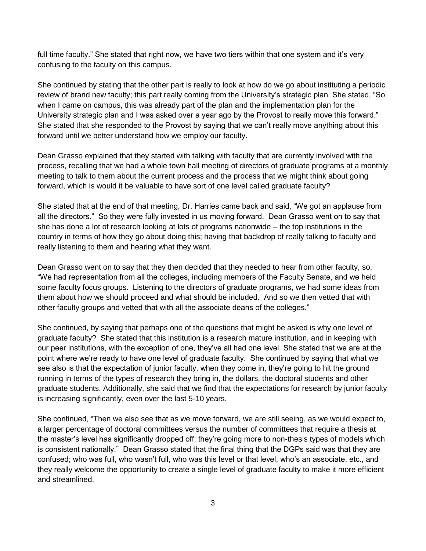full time faculty." She stated that right now, we have two tiers within that one system and it's very confusing to the faculty on this campus.

She continued by stating that the other part is really to look at how do we go about instituting a periodic review of brand new faculty; this part really coming from the University's strategic plan. She stated, "So when I came on campus, this was already part of the plan and the implementation plan for the University strategic plan and I was asked over a year ago by the Provost to really move this forward." She stated that she responded to the Provost by saying that we can't really move anything about this forward until we better understand how we employ our faculty.

Dean Grasso explained that they started with talking with faculty that are currently involved with the process, recalling that we had a whole town hall meeting of directors of graduate programs at a monthly meeting to talk to them about the current process and the process that we might think about going forward, which is would it be valuable to have sort of one level called graduate faculty?

She stated that at the end of that meeting, Dr. Harries came back and said, "We got an applause from all the directors." So they were fully invested in us moving forward. Dean Grasso went on to say that she has done a lot of research looking at lots of programs nationwide – the top institutions in the country in terms of how they go about doing this; having that backdrop of really talking to faculty and really listening to them and hearing what they want.

Dean Grasso went on to say that they then decided that they needed to hear from other faculty, so, "We had representation from all the colleges, including members of the Faculty Senate, and we held some faculty focus groups. Listening to the directors of graduate programs, we had some ideas from them about how we should proceed and what should be included. And so we then vetted that with other faculty groups and vetted that with all the associate deans of the colleges."

She continued, by saying that perhaps one of the questions that might be asked is why one level of graduate faculty? She stated that this institution is a research mature institution, and in keeping with our peer institutions, with the exception of one, they've all had one level. She stated that we are at the point where we're ready to have one level of graduate faculty. She continued by saying that what we see also is that the expectation of junior faculty, when they come in, they're going to hit the ground running in terms of the types of research they bring in, the dollars, the doctoral students and other graduate students. Additionally, she said that we find that the expectations for research by junior faculty is increasing significantly, even over the last 5-10 years.

She continued, "Then we also see that as we move forward, we are still seeing, as we would expect to, a larger percentage of doctoral committees versus the number of committees that require a thesis at the master's level has significantly dropped off; they're going more to non-thesis types of models which is consistent nationally." Dean Grasso stated that the final thing that the DGPs said was that they are confused; who was full, who wasn't full, who was this level or that level, who's an associate, etc., and they really welcome the opportunity to create a single level of graduate faculty to make it more efficient and streamlined.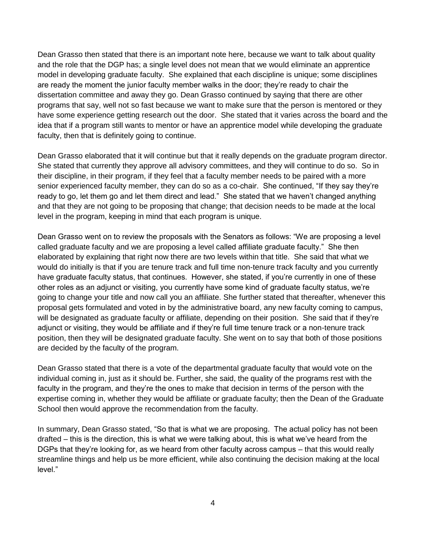Dean Grasso then stated that there is an important note here, because we want to talk about quality and the role that the DGP has; a single level does not mean that we would eliminate an apprentice model in developing graduate faculty. She explained that each discipline is unique; some disciplines are ready the moment the junior faculty member walks in the door; they're ready to chair the dissertation committee and away they go. Dean Grasso continued by saying that there are other programs that say, well not so fast because we want to make sure that the person is mentored or they have some experience getting research out the door. She stated that it varies across the board and the idea that if a program still wants to mentor or have an apprentice model while developing the graduate faculty, then that is definitely going to continue.

Dean Grasso elaborated that it will continue but that it really depends on the graduate program director. She stated that currently they approve all advisory committees, and they will continue to do so. So in their discipline, in their program, if they feel that a faculty member needs to be paired with a more senior experienced faculty member, they can do so as a co-chair. She continued, "If they say they're ready to go, let them go and let them direct and lead." She stated that we haven't changed anything and that they are not going to be proposing that change; that decision needs to be made at the local level in the program, keeping in mind that each program is unique.

Dean Grasso went on to review the proposals with the Senators as follows: "We are proposing a level called graduate faculty and we are proposing a level called affiliate graduate faculty." She then elaborated by explaining that right now there are two levels within that title. She said that what we would do initially is that if you are tenure track and full time non-tenure track faculty and you currently have graduate faculty status, that continues. However, she stated, if you're currently in one of these other roles as an adjunct or visiting, you currently have some kind of graduate faculty status, we're going to change your title and now call you an affiliate. She further stated that thereafter, whenever this proposal gets formulated and voted in by the administrative board, any new faculty coming to campus, will be designated as graduate faculty or affiliate, depending on their position. She said that if they're adjunct or visiting, they would be affiliate and if they're full time tenure track or a non-tenure track position, then they will be designated graduate faculty. She went on to say that both of those positions are decided by the faculty of the program.

Dean Grasso stated that there is a vote of the departmental graduate faculty that would vote on the individual coming in, just as it should be. Further, she said, the quality of the programs rest with the faculty in the program, and they're the ones to make that decision in terms of the person with the expertise coming in, whether they would be affiliate or graduate faculty; then the Dean of the Graduate School then would approve the recommendation from the faculty.

In summary, Dean Grasso stated, "So that is what we are proposing. The actual policy has not been drafted – this is the direction, this is what we were talking about, this is what we've heard from the DGPs that they're looking for, as we heard from other faculty across campus – that this would really streamline things and help us be more efficient, while also continuing the decision making at the local level."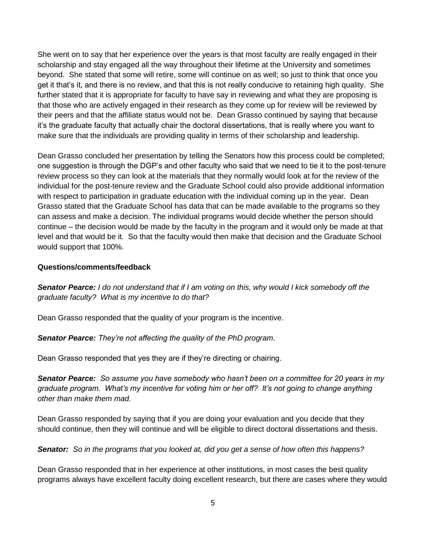She went on to say that her experience over the years is that most faculty are really engaged in their scholarship and stay engaged all the way throughout their lifetime at the University and sometimes beyond. She stated that some will retire, some will continue on as well; so just to think that once you get it that's it, and there is no review, and that this is not really conducive to retaining high quality. She further stated that it is appropriate for faculty to have say in reviewing and what they are proposing is that those who are actively engaged in their research as they come up for review will be reviewed by their peers and that the affiliate status would not be. Dean Grasso continued by saying that because it's the graduate faculty that actually chair the doctoral dissertations, that is really where you want to make sure that the individuals are providing quality in terms of their scholarship and leadership.

Dean Grasso concluded her presentation by telling the Senators how this process could be completed; one suggestion is through the DGP's and other faculty who said that we need to tie it to the post-tenure review process so they can look at the materials that they normally would look at for the review of the individual for the post-tenure review and the Graduate School could also provide additional information with respect to participation in graduate education with the individual coming up in the year. Dean Grasso stated that the Graduate School has data that can be made available to the programs so they can assess and make a decision. The individual programs would decide whether the person should continue – the decision would be made by the faculty in the program and it would only be made at that level and that would be it. So that the faculty would then make that decision and the Graduate School would support that 100%.

#### **Questions/comments/feedback**

*Senator Pearce: I do not understand that if I am voting on this, why would I kick somebody off the graduate faculty? What is my incentive to do that?*

Dean Grasso responded that the quality of your program is the incentive.

*Senator Pearce: They're not affecting the quality of the PhD program.*

Dean Grasso responded that yes they are if they're directing or chairing.

*Senator Pearce: So assume you have somebody who hasn't been on a committee for 20 years in my graduate program. What's my incentive for voting him or her off? It's not going to change anything other than make them mad.*

Dean Grasso responded by saying that if you are doing your evaluation and you decide that they should continue, then they will continue and will be eligible to direct doctoral dissertations and thesis.

*Senator: So in the programs that you looked at, did you get a sense of how often this happens?*

Dean Grasso responded that in her experience at other institutions, in most cases the best quality programs always have excellent faculty doing excellent research, but there are cases where they would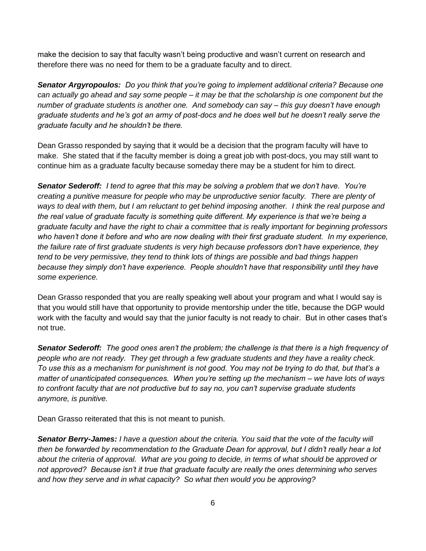make the decision to say that faculty wasn't being productive and wasn't current on research and therefore there was no need for them to be a graduate faculty and to direct.

*Senator Argyropoulos: Do you think that you're going to implement additional criteria? Because one can actually go ahead and say some people – it may be that the scholarship is one component but the number of graduate students is another one. And somebody can say – this guy doesn't have enough graduate students and he's got an army of post-docs and he does well but he doesn't really serve the graduate faculty and he shouldn't be there.*

Dean Grasso responded by saying that it would be a decision that the program faculty will have to make. She stated that if the faculty member is doing a great job with post-docs, you may still want to continue him as a graduate faculty because someday there may be a student for him to direct.

*Senator Sederoff: I tend to agree that this may be solving a problem that we don't have. You're creating a punitive measure for people who may be unproductive senior faculty. There are plenty of*  ways to deal with them, but I am reluctant to get behind imposing another. I think the real purpose and *the real value of graduate faculty is something quite different. My experience is that we're being a graduate faculty and have the right to chair a committee that is really important for beginning professors*  who haven't done it before and who are now dealing with their first graduate student. In my experience, *the failure rate of first graduate students is very high because professors don't have experience, they tend to be very permissive, they tend to think lots of things are possible and bad things happen because they simply don't have experience. People shouldn't have that responsibility until they have some experience.* 

Dean Grasso responded that you are really speaking well about your program and what I would say is that you would still have that opportunity to provide mentorship under the title, because the DGP would work with the faculty and would say that the junior faculty is not ready to chair. But in other cases that's not true.

*Senator Sederoff: The good ones aren't the problem; the challenge is that there is a high frequency of people who are not ready. They get through a few graduate students and they have a reality check. To use this as a mechanism for punishment is not good. You may not be trying to do that, but that's a matter of unanticipated consequences. When you're setting up the mechanism – we have lots of ways to confront faculty that are not productive but to say no, you can't supervise graduate students anymore, is punitive.*

Dean Grasso reiterated that this is not meant to punish.

*Senator Berry-James: I have a question about the criteria. You said that the vote of the faculty will then be forwarded by recommendation to the Graduate Dean for approval, but I didn't really hear a lot about the criteria of approval. What are you going to decide, in terms of what should be approved or not approved? Because isn't it true that graduate faculty are really the ones determining who serves and how they serve and in what capacity? So what then would you be approving?*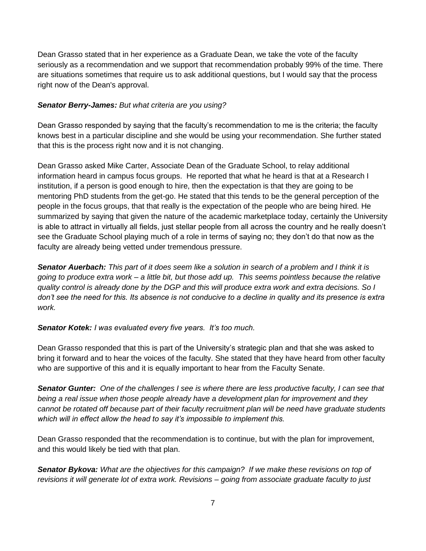Dean Grasso stated that in her experience as a Graduate Dean, we take the vote of the faculty seriously as a recommendation and we support that recommendation probably 99% of the time. There are situations sometimes that require us to ask additional questions, but I would say that the process right now of the Dean's approval.

## *Senator Berry-James: But what criteria are you using?*

Dean Grasso responded by saying that the faculty's recommendation to me is the criteria; the faculty knows best in a particular discipline and she would be using your recommendation. She further stated that this is the process right now and it is not changing.

Dean Grasso asked Mike Carter, Associate Dean of the Graduate School, to relay additional information heard in campus focus groups. He reported that what he heard is that at a Research I institution, if a person is good enough to hire, then the expectation is that they are going to be mentoring PhD students from the get-go. He stated that this tends to be the general perception of the people in the focus groups, that that really is the expectation of the people who are being hired. He summarized by saying that given the nature of the academic marketplace today, certainly the University is able to attract in virtually all fields, just stellar people from all across the country and he really doesn't see the Graduate School playing much of a role in terms of saying no; they don't do that now as the faculty are already being vetted under tremendous pressure.

*Senator Auerbach: This part of it does seem like a solution in search of a problem and I think it is going to produce extra work – a little bit, but those add up. This seems pointless because the relative quality control is already done by the DGP and this will produce extra work and extra decisions. So I don't see the need for this. Its absence is not conducive to a decline in quality and its presence is extra work.*

#### *Senator Kotek: I was evaluated every five years. It's too much.*

Dean Grasso responded that this is part of the University's strategic plan and that she was asked to bring it forward and to hear the voices of the faculty. She stated that they have heard from other faculty who are supportive of this and it is equally important to hear from the Faculty Senate.

*Senator Gunter: One of the challenges I see is where there are less productive faculty, I can see that being a real issue when those people already have a development plan for improvement and they cannot be rotated off because part of their faculty recruitment plan will be need have graduate students which will in effect allow the head to say it's impossible to implement this.*

Dean Grasso responded that the recommendation is to continue, but with the plan for improvement, and this would likely be tied with that plan.

*Senator Bykova: What are the objectives for this campaign? If we make these revisions on top of revisions it will generate lot of extra work. Revisions – going from associate graduate faculty to just*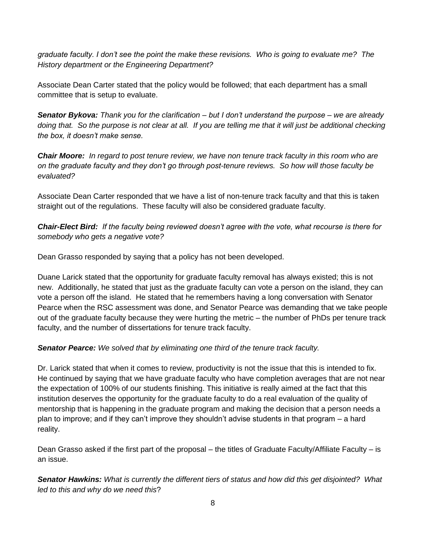*graduate faculty. I don't see the point the make these revisions. Who is going to evaluate me? The History department or the Engineering Department?*

Associate Dean Carter stated that the policy would be followed; that each department has a small committee that is setup to evaluate.

*Senator Bykova: Thank you for the clarification – but I don't understand the purpose – we are already*  doing that. So the purpose is not clear at all. If you are telling me that it will just be additional checking *the box, it doesn't make sense.*

*Chair Moore: In regard to post tenure review, we have non tenure track faculty in this room who are on the graduate faculty and they don't go through post-tenure reviews. So how will those faculty be evaluated?*

Associate Dean Carter responded that we have a list of non-tenure track faculty and that this is taken straight out of the regulations. These faculty will also be considered graduate faculty.

*Chair-Elect Bird: If the faculty being reviewed doesn't agree with the vote, what recourse is there for somebody who gets a negative vote?*

Dean Grasso responded by saying that a policy has not been developed.

Duane Larick stated that the opportunity for graduate faculty removal has always existed; this is not new. Additionally, he stated that just as the graduate faculty can vote a person on the island, they can vote a person off the island. He stated that he remembers having a long conversation with Senator Pearce when the RSC assessment was done, and Senator Pearce was demanding that we take people out of the graduate faculty because they were hurting the metric – the number of PhDs per tenure track faculty, and the number of dissertations for tenure track faculty.

# *Senator Pearce: We solved that by eliminating one third of the tenure track faculty.*

Dr. Larick stated that when it comes to review, productivity is not the issue that this is intended to fix. He continued by saying that we have graduate faculty who have completion averages that are not near the expectation of 100% of our students finishing. This initiative is really aimed at the fact that this institution deserves the opportunity for the graduate faculty to do a real evaluation of the quality of mentorship that is happening in the graduate program and making the decision that a person needs a plan to improve; and if they can't improve they shouldn't advise students in that program – a hard reality.

Dean Grasso asked if the first part of the proposal – the titles of Graduate Faculty/Affiliate Faculty – is an issue.

*Senator Hawkins: What is currently the different tiers of status and how did this get disjointed? What led to this and why do we need this*?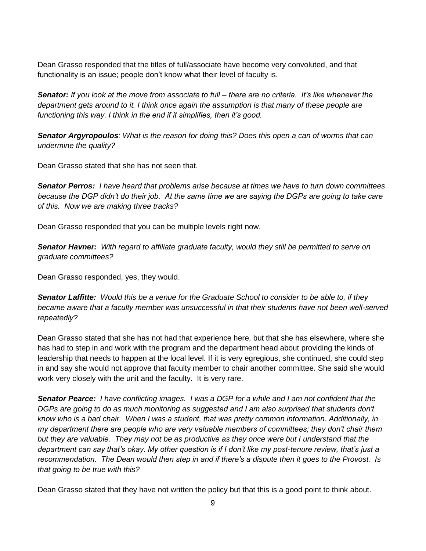Dean Grasso responded that the titles of full/associate have become very convoluted, and that functionality is an issue; people don't know what their level of faculty is.

*Senator: If you look at the move from associate to full – there are no criteria. It's like whenever the*  department gets around to it. I think once again the assumption is that many of these people are *functioning this way. I think in the end if it simplifies, then it's good.*

*Senator Argyropoulos: What is the reason for doing this? Does this open a can of worms that can undermine the quality?*

Dean Grasso stated that she has not seen that.

*Senator Perros: I have heard that problems arise because at times we have to turn down committees because the DGP didn't do their job. At the same time we are saying the DGPs are going to take care of this. Now we are making three tracks?*

Dean Grasso responded that you can be multiple levels right now.

*Senator Havner: With regard to affiliate graduate faculty, would they still be permitted to serve on graduate committees?*

Dean Grasso responded, yes, they would.

*Senator Laffitte: Would this be a venue for the Graduate School to consider to be able to, if they became aware that a faculty member was unsuccessful in that their students have not been well-served repeatedly?* 

Dean Grasso stated that she has not had that experience here, but that she has elsewhere, where she has had to step in and work with the program and the department head about providing the kinds of leadership that needs to happen at the local level. If it is very egregious, she continued, she could step in and say she would not approve that faculty member to chair another committee. She said she would work very closely with the unit and the faculty. It is very rare.

*Senator Pearce: I have conflicting images. I was a DGP for a while and I am not confident that the DGPs are going to do as much monitoring as suggested and I am also surprised that students don't know who is a bad chair. When I was a student, that was pretty common information. Additionally, in my department there are people who are very valuable members of committees; they don't chair them but they are valuable. They may not be as productive as they once were but I understand that the department can say that's okay. My other question is if I don't like my post-tenure review, that's just a recommendation. The Dean would then step in and if there's a dispute then it goes to the Provost. Is that going to be true with this?* 

Dean Grasso stated that they have not written the policy but that this is a good point to think about.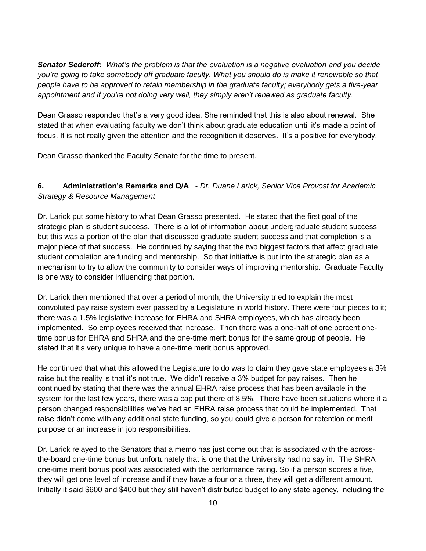*Senator Sederoff: What's the problem is that the evaluation is a negative evaluation and you decide you're going to take somebody off graduate faculty. What you should do is make it renewable so that people have to be approved to retain membership in the graduate faculty; everybody gets a five-year appointment and if you're not doing very well, they simply aren't renewed as graduate faculty.*

Dean Grasso responded that's a very good idea. She reminded that this is also about renewal. She stated that when evaluating faculty we don't think about graduate education until it's made a point of focus. It is not really given the attention and the recognition it deserves. It's a positive for everybody.

Dean Grasso thanked the Faculty Senate for the time to present.

# **6. Administration's Remarks and Q/A** - *Dr. Duane Larick, Senior Vice Provost for Academic Strategy & Resource Management*

Dr. Larick put some history to what Dean Grasso presented. He stated that the first goal of the strategic plan is student success. There is a lot of information about undergraduate student success but this was a portion of the plan that discussed graduate student success and that completion is a major piece of that success. He continued by saying that the two biggest factors that affect graduate student completion are funding and mentorship. So that initiative is put into the strategic plan as a mechanism to try to allow the community to consider ways of improving mentorship. Graduate Faculty is one way to consider influencing that portion.

Dr. Larick then mentioned that over a period of month, the University tried to explain the most convoluted pay raise system ever passed by a Legislature in world history. There were four pieces to it; there was a 1.5% legislative increase for EHRA and SHRA employees, which has already been implemented. So employees received that increase. Then there was a one-half of one percent onetime bonus for EHRA and SHRA and the one-time merit bonus for the same group of people. He stated that it's very unique to have a one-time merit bonus approved.

He continued that what this allowed the Legislature to do was to claim they gave state employees a 3% raise but the reality is that it's not true. We didn't receive a 3% budget for pay raises. Then he continued by stating that there was the annual EHRA raise process that has been available in the system for the last few years, there was a cap put there of 8.5%. There have been situations where if a person changed responsibilities we've had an EHRA raise process that could be implemented. That raise didn't come with any additional state funding, so you could give a person for retention or merit purpose or an increase in job responsibilities.

Dr. Larick relayed to the Senators that a memo has just come out that is associated with the acrossthe-board one-time bonus but unfortunately that is one that the University had no say in. The SHRA one-time merit bonus pool was associated with the performance rating. So if a person scores a five, they will get one level of increase and if they have a four or a three, they will get a different amount. Initially it said \$600 and \$400 but they still haven't distributed budget to any state agency, including the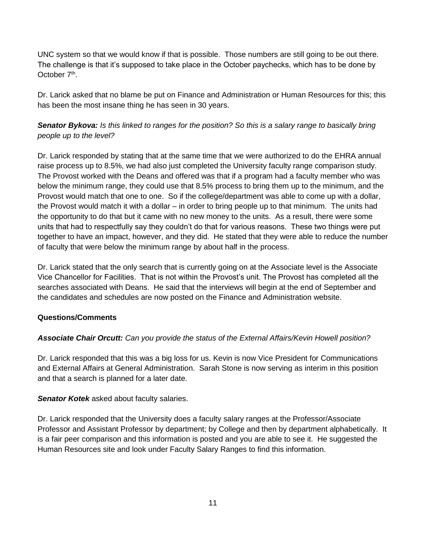UNC system so that we would know if that is possible. Those numbers are still going to be out there. The challenge is that it's supposed to take place in the October paychecks, which has to be done by October 7<sup>th</sup>.

Dr. Larick asked that no blame be put on Finance and Administration or Human Resources for this; this has been the most insane thing he has seen in 30 years.

*Senator Bykova: Is this linked to ranges for the position? So this is a salary range to basically bring people up to the level?*

Dr. Larick responded by stating that at the same time that we were authorized to do the EHRA annual raise process up to 8.5%, we had also just completed the University faculty range comparison study. The Provost worked with the Deans and offered was that if a program had a faculty member who was below the minimum range, they could use that 8.5% process to bring them up to the minimum, and the Provost would match that one to one. So if the college/department was able to come up with a dollar, the Provost would match it with a dollar – in order to bring people up to that minimum. The units had the opportunity to do that but it came with no new money to the units. As a result, there were some units that had to respectfully say they couldn't do that for various reasons. These two things were put together to have an impact, however, and they did. He stated that they were able to reduce the number of faculty that were below the minimum range by about half in the process.

Dr. Larick stated that the only search that is currently going on at the Associate level is the Associate Vice Chancellor for Facilities. That is not within the Provost's unit. The Provost has completed all the searches associated with Deans. He said that the interviews will begin at the end of September and the candidates and schedules are now posted on the Finance and Administration website.

#### **Questions/Comments**

#### *Associate Chair Orcutt: Can you provide the status of the External Affairs/Kevin Howell position?*

Dr. Larick responded that this was a big loss for us. Kevin is now Vice President for Communications and External Affairs at General Administration. Sarah Stone is now serving as interim in this position and that a search is planned for a later date.

#### *Senator Kotek* asked about faculty salaries.

Dr. Larick responded that the University does a faculty salary ranges at the Professor/Associate Professor and Assistant Professor by department; by College and then by department alphabetically. It is a fair peer comparison and this information is posted and you are able to see it. He suggested the Human Resources site and look under Faculty Salary Ranges to find this information.